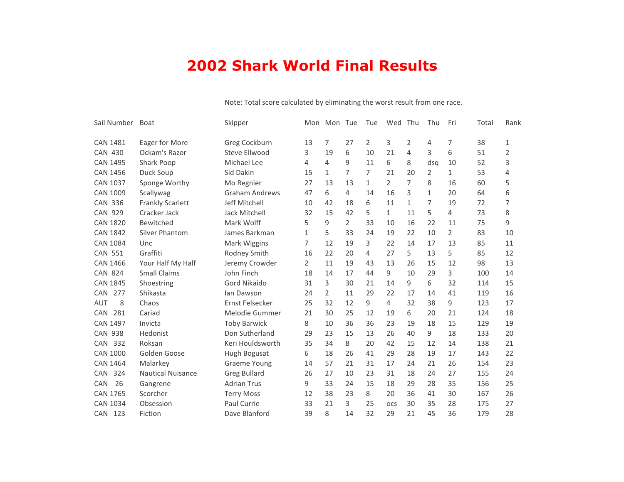## **2002 Shark World Final Results**

| Sail Number       | Boat                     | Skipper               | Mon          | Mon Tue        |                | Tue            | Wed            | Thu | Thu          | Fri            | Total | Rank |
|-------------------|--------------------------|-----------------------|--------------|----------------|----------------|----------------|----------------|-----|--------------|----------------|-------|------|
| <b>CAN 1481</b>   | Eager for More           | Greg Cockburn         | 13           | 7              | 27             | 2              | 3              | 2   | 4            | 7              | 38    | 1    |
| <b>CAN 430</b>    | Ockam's Razor            | Steve Ellwood         | 3            | 19             | 6              | 10             | 21             | 4   | 3            | 6              | 51    | 2    |
| <b>CAN 1495</b>   | Shark Poop               | Michael Lee           | 4            | 4              | 9              | 11             | 6              | 8   | dsa          | 10             | 52    | 3    |
| <b>CAN 1456</b>   | Duck Soup                | Sid Dakin             | 15           | $\mathbf{1}$   | 7              | $\overline{7}$ | 21             | 20  | 2            | $\mathbf{1}$   | 53    | 4    |
| <b>CAN 1037</b>   | Sponge Worthy            | Mo Regnier            | 27           | 13             | 13             | $\mathbf{1}$   | $\overline{2}$ | 7   | 8            | 16             | 60    | 5    |
| <b>CAN 1009</b>   | Scallywag                | <b>Graham Andrews</b> | 47           | 6              | 4              | 14             | 16             | 3   | $\mathbf{1}$ | 20             | 64    | 6    |
| <b>CAN 336</b>    | <b>Frankly Scarlett</b>  | Jeff Mitchell         | 10           | 42             | 18             | 6              | 11             | 1   | 7            | 19             | 72    | 7    |
| <b>CAN 929</b>    | Cracker Jack             | Jack Mitchell         | 32           | 15             | 42             | 5              | $\mathbf{1}$   | 11  | 5            | 4              | 73    | 8    |
| <b>CAN 1820</b>   | Bewitched                | Mark Wolff            | 5            | 9              | $\overline{2}$ | 33             | 10             | 16  | 22           | 11             | 75    | 9    |
| <b>CAN 1842</b>   | Silver Phantom           | James Barkman         | $\mathbf{1}$ | 5              | 33             | 24             | 19             | 22  | 10           | $\overline{2}$ | 83    | 10   |
| <b>CAN 1084</b>   | Unc                      | Mark Wiggins          | 7            | 12             | 19             | 3              | 22             | 14  | 17           | 13             | 85    | 11   |
| <b>CAN 551</b>    | Graffiti                 | Rodney Smith          | 16           | 22             | 20             | 4              | 27             | 5   | 13           | 5              | 85    | 12   |
| <b>CAN 1466</b>   | Your Half My Half        | Jeremy Crowder        | 2            | 11             | 19             | 43             | 13             | 26  | 15           | 12             | 98    | 13   |
| <b>CAN 824</b>    | <b>Small Claims</b>      | John Finch            | 18           | 14             | 17             | 44             | 9              | 10  | 29           | 3              | 100   | 14   |
| <b>CAN 1845</b>   | Shoestring               | Gord Nikaido          | 31           | 3              | 30             | 21             | 14             | 9   | 6            | 32             | 114   | 15   |
| 277<br><b>CAN</b> | Shikasta                 | lan Dawson            | 24           | $\overline{2}$ | 11             | 29             | 22             | 17  | 14           | 41             | 119   | 16   |
| 8<br><b>AUT</b>   | Chaos                    | Ernst Felsecker       | 25           | 32             | 12             | 9              | 4              | 32  | 38           | 9              | 123   | 17   |
| 281<br><b>CAN</b> | Cariad                   | Melodie Gummer        | 21           | 30             | 25             | 12             | 19             | 6   | 20           | 21             | 124   | 18   |
| <b>CAN 1497</b>   | Invicta                  | <b>Toby Barwick</b>   | 8            | 10             | 36             | 36             | 23             | 19  | 18           | 15             | 129   | 19   |
| <b>CAN 938</b>    | Hedonist                 | Don Sutherland        | 29           | 23             | 15             | 13             | 26             | 40  | 9            | 18             | 133   | 20   |
| CAN 332           | Roksan                   | Keri Houldsworth      | 35           | 34             | 8              | 20             | 42             | 15  | 12           | 14             | 138   | 21   |
| <b>CAN 1000</b>   | Golden Goose             | Hugh Bogusat          | 6            | 18             | 26             | 41             | 29             | 28  | 19           | 17             | 143   | 22   |
| <b>CAN 1464</b>   | Malarkey                 | <b>Graeme Young</b>   | 14           | 57             | 21             | 31             | 17             | 24  | 21           | 26             | 154   | 23   |
| 324<br><b>CAN</b> | <b>Nautical Nuisance</b> | <b>Greg Bullard</b>   | 26           | 27             | 10             | 23             | 31             | 18  | 24           | 27             | 155   | 24   |
| 26<br><b>CAN</b>  | Gangrene                 | <b>Adrian Trus</b>    | 9            | 33             | 24             | 15             | 18             | 29  | 28           | 35             | 156   | 25   |
| <b>CAN 1765</b>   | Scorcher                 | <b>Terry Moss</b>     | 12           | 38             | 23             | 8              | 20             | 36  | 41           | 30             | 167   | 26   |
| <b>CAN 1034</b>   | Obsession                | Paul Currie           | 33           | 21             | 3              | 25             | <b>OCS</b>     | 30  | 35           | 28             | 175   | 27   |
| CAN 123           | Fiction                  | Dave Blanford         | 39           | 8              | 14             | 32             | 29             | 21  | 45           | 36             | 179   | 28   |

## Note: Total score calculated by eliminating the worst result from one race.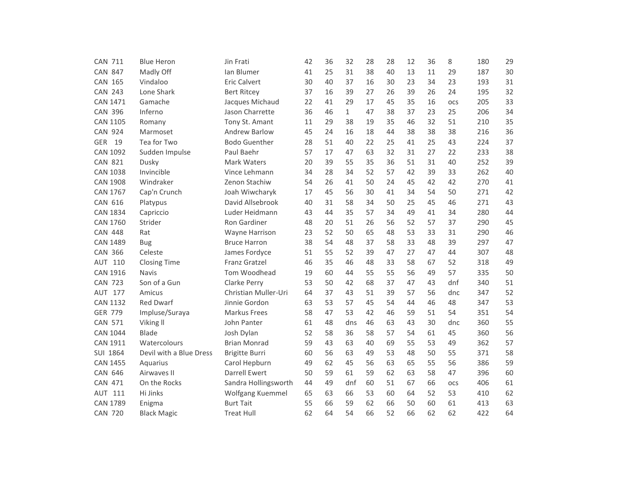| <b>CAN 711</b>  | <b>Blue Heron</b>       | Jin Frati             | 42 | 36 | 32           | 28 | 28 | 12 | 36 | 8   | 180 | 29 |
|-----------------|-------------------------|-----------------------|----|----|--------------|----|----|----|----|-----|-----|----|
| <b>CAN 847</b>  | Madly Off               | Ian Blumer            | 41 | 25 | 31           | 38 | 40 | 13 | 11 | 29  | 187 | 30 |
| <b>CAN 165</b>  | Vindaloo                | <b>Eric Calvert</b>   | 30 | 40 | 37           | 16 | 30 | 23 | 34 | 23  | 193 | 31 |
| <b>CAN 243</b>  | Lone Shark              | <b>Bert Ritcey</b>    | 37 | 16 | 39           | 27 | 26 | 39 | 26 | 24  | 195 | 32 |
| <b>CAN 1471</b> | Gamache                 | Jacques Michaud       | 22 | 41 | 29           | 17 | 45 | 35 | 16 | OCS | 205 | 33 |
| <b>CAN 396</b>  | Inferno                 | Jason Charrette       | 36 | 46 | $\mathbf{1}$ | 47 | 38 | 37 | 23 | 25  | 206 | 34 |
| <b>CAN 1105</b> | Romany                  | Tony St. Amant        | 11 | 29 | 38           | 19 | 35 | 46 | 32 | 51  | 210 | 35 |
| <b>CAN 924</b>  | Marmoset                | <b>Andrew Barlow</b>  | 45 | 24 | 16           | 18 | 44 | 38 | 38 | 38  | 216 | 36 |
| GER<br>19       | Tea for Two             | <b>Bodo Guenther</b>  | 28 | 51 | 40           | 22 | 25 | 41 | 25 | 43  | 224 | 37 |
| <b>CAN 1092</b> | Sudden Impulse          | Paul Baehr            | 57 | 17 | 47           | 63 | 32 | 31 | 27 | 22  | 233 | 38 |
| <b>CAN 821</b>  | Dusky                   | <b>Mark Waters</b>    | 20 | 39 | 55           | 35 | 36 | 51 | 31 | 40  | 252 | 39 |
| <b>CAN 1038</b> | Invincible              | Vince Lehmann         | 34 | 28 | 34           | 52 | 57 | 42 | 39 | 33  | 262 | 40 |
| <b>CAN 1908</b> | Windraker               | Zenon Stachiw         | 54 | 26 | 41           | 50 | 24 | 45 | 42 | 42  | 270 | 41 |
| <b>CAN 1767</b> | Cap'n Crunch            | Joah Wiwcharyk        | 17 | 45 | 56           | 30 | 41 | 34 | 54 | 50  | 271 | 42 |
| CAN 616         | Platypus                | David Allsebrook      | 40 | 31 | 58           | 34 | 50 | 25 | 45 | 46  | 271 | 43 |
| <b>CAN 1834</b> | Capriccio               | Luder Heidmann        | 43 | 44 | 35           | 57 | 34 | 49 | 41 | 34  | 280 | 44 |
| <b>CAN 1760</b> | Strider                 | Ron Gardiner          | 48 | 20 | 51           | 26 | 56 | 52 | 57 | 37  | 290 | 45 |
| <b>CAN 448</b>  | Rat                     | Wayne Harrison        | 23 | 52 | 50           | 65 | 48 | 53 | 33 | 31  | 290 | 46 |
| <b>CAN 1489</b> | <b>Bug</b>              | <b>Bruce Harron</b>   | 38 | 54 | 48           | 37 | 58 | 33 | 48 | 39  | 297 | 47 |
| <b>CAN 366</b>  | Celeste                 | James Fordyce         | 51 | 55 | 52           | 39 | 47 | 27 | 47 | 44  | 307 | 48 |
| 110<br>AUT      | <b>Closing Time</b>     | <b>Franz Gratzel</b>  | 46 | 35 | 46           | 48 | 33 | 58 | 67 | 52  | 318 | 49 |
| <b>CAN 1916</b> | Navis                   | Tom Woodhead          | 19 | 60 | 44           | 55 | 55 | 56 | 49 | 57  | 335 | 50 |
| <b>CAN 723</b>  | Son of a Gun            | Clarke Perry          | 53 | 50 | 42           | 68 | 37 | 47 | 43 | dnf | 340 | 51 |
| AUT 177         | Amicus                  | Christian Muller-Uri  | 64 | 37 | 43           | 51 | 39 | 57 | 56 | dnc | 347 | 52 |
| <b>CAN 1132</b> | <b>Red Dwarf</b>        | Jinnie Gordon         | 63 | 53 | 57           | 45 | 54 | 44 | 46 | 48  | 347 | 53 |
| <b>GER 779</b>  | Impluse/Suraya          | <b>Markus Frees</b>   | 58 | 47 | 53           | 42 | 46 | 59 | 51 | 54  | 351 | 54 |
| <b>CAN 571</b>  | Viking II               | John Panter           | 61 | 48 | dns          | 46 | 63 | 43 | 30 | dnc | 360 | 55 |
| <b>CAN 1044</b> | <b>Blade</b>            | Josh Dylan            | 52 | 58 | 36           | 58 | 57 | 54 | 61 | 45  | 360 | 56 |
| <b>CAN 1911</b> | Watercolours            | <b>Brian Monrad</b>   | 59 | 43 | 63           | 40 | 69 | 55 | 53 | 49  | 362 | 57 |
| <b>SUI 1864</b> | Devil with a Blue Dress | <b>Brigitte Burri</b> | 60 | 56 | 63           | 49 | 53 | 48 | 50 | 55  | 371 | 58 |
| <b>CAN 1455</b> | Aquarius                | Carol Hepburn         | 49 | 62 | 45           | 56 | 63 | 65 | 55 | 56  | 386 | 59 |
| <b>CAN 646</b>  | Airwaves II             | <b>Darrell Ewert</b>  | 50 | 59 | 61           | 59 | 62 | 63 | 58 | 47  | 396 | 60 |
| <b>CAN 471</b>  | On the Rocks            | Sandra Hollingsworth  | 44 | 49 | dnf          | 60 | 51 | 67 | 66 | OCS | 406 | 61 |
| 111<br>AUT      | Hi Jinks                | Wolfgang Kuemmel      | 65 | 63 | 66           | 53 | 60 | 64 | 52 | 53  | 410 | 62 |
| <b>CAN 1789</b> | Enigma                  | <b>Burt Tait</b>      | 55 | 66 | 59           | 62 | 66 | 50 | 60 | 61  | 413 | 63 |
| <b>CAN 720</b>  | <b>Black Magic</b>      | <b>Treat Hull</b>     | 62 | 64 | 54           | 66 | 52 | 66 | 62 | 62  | 422 | 64 |